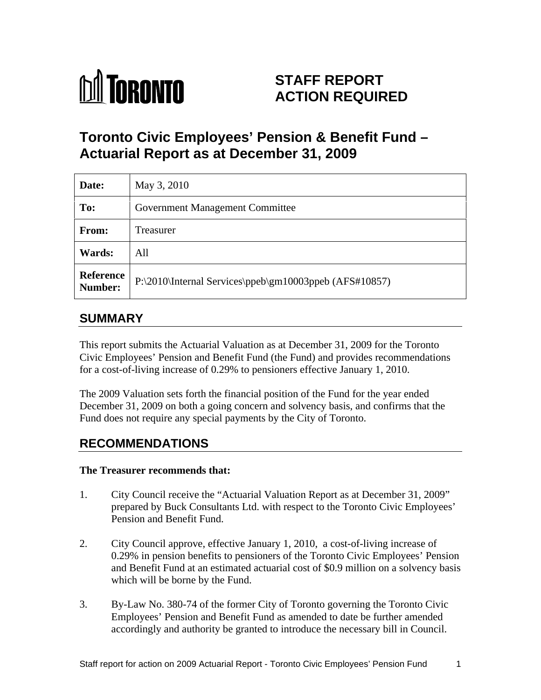

# **STAFF REPORT ACTION REQUIRED**

# **Toronto Civic Employees' Pension & Benefit Fund – Actuarial Report as at December 31, 2009**

| Date:         | May 3, 2010                                                      |
|---------------|------------------------------------------------------------------|
| To:           | <b>Government Management Committee</b>                           |
| From:         | Treasurer                                                        |
| <b>Wards:</b> | All                                                              |
|               | Reference P:\2010\Internal Services\ppeb\gm10003ppeb (AFS#10857) |

# **SUMMARY**

This report submits the Actuarial Valuation as at December 31, 2009 for the Toronto Civic Employees' Pension and Benefit Fund (the Fund) and provides recommendations for a cost-of-living increase of 0.29% to pensioners effective January 1, 2010.

The 2009 Valuation sets forth the financial position of the Fund for the year ended December 31, 2009 on both a going concern and solvency basis, and confirms that the Fund does not require any special payments by the City of Toronto.

# **RECOMMENDATIONS**

#### **The Treasurer recommends that:**

- 1. City Council receive the "Actuarial Valuation Report as at December 31, 2009" prepared by Buck Consultants Ltd. with respect to the Toronto Civic Employees' Pension and Benefit Fund.
- 2. City Council approve, effective January 1, 2010, a cost-of-living increase of 0.29% in pension benefits to pensioners of the Toronto Civic Employees' Pension and Benefit Fund at an estimated actuarial cost of \$0.9 million on a solvency basis which will be borne by the Fund.
- 3. By-Law No. 380-74 of the former City of Toronto governing the Toronto Civic Employees' Pension and Benefit Fund as amended to date be further amended accordingly and authority be granted to introduce the necessary bill in Council.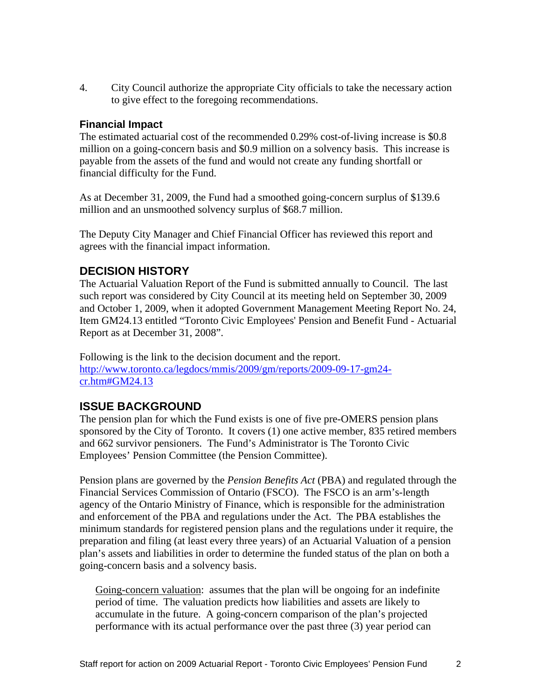4. City Council authorize the appropriate City officials to take the necessary action to give effect to the foregoing recommendations.

#### **Financial Impact**

The estimated actuarial cost of the recommended 0.29% cost-of-living increase is \$0.8 million on a going-concern basis and \$0.9 million on a solvency basis. This increase is payable from the assets of the fund and would not create any funding shortfall or financial difficulty for the Fund.

As at December 31, 2009, the Fund had a smoothed going-concern surplus of \$139.6 million and an unsmoothed solvency surplus of \$68.7 million.

The Deputy City Manager and Chief Financial Officer has reviewed this report and agrees with the financial impact information.

### **DECISION HISTORY**

The Actuarial Valuation Report of the Fund is submitted annually to Council. The last such report was considered by City Council at its meeting held on September 30, 2009 and October 1, 2009, when it adopted Government Management Meeting Report No. 24, Item GM24.13 entitled "Toronto Civic Employees' Pension and Benefit Fund - Actuarial Report as at December 31, 2008".

Following is the link to the decision document and the report. http://www.toronto.ca/legdocs/mmis/2009/gm/reports/2009-09-17-gm24 cr.htm#GM24.13

### **ISSUE BACKGROUND**

The pension plan for which the Fund exists is one of five pre-OMERS pension plans sponsored by the City of Toronto. It covers (1) one active member, 835 retired members and 662 survivor pensioners. The Fund's Administrator is The Toronto Civic Employees' Pension Committee (the Pension Committee).

Pension plans are governed by the *Pension Benefits Act* (PBA) and regulated through the Financial Services Commission of Ontario (FSCO). The FSCO is an arm's-length agency of the Ontario Ministry of Finance, which is responsible for the administration and enforcement of the PBA and regulations under the Act. The PBA establishes the minimum standards for registered pension plans and the regulations under it require, the preparation and filing (at least every three years) of an Actuarial Valuation of a pension plan's assets and liabilities in order to determine the funded status of the plan on both a going-concern basis and a solvency basis.

Going-concern valuation: assumes that the plan will be ongoing for an indefinite period of time. The valuation predicts how liabilities and assets are likely to accumulate in the future. A going-concern comparison of the plan's projected performance with its actual performance over the past three (3) year period can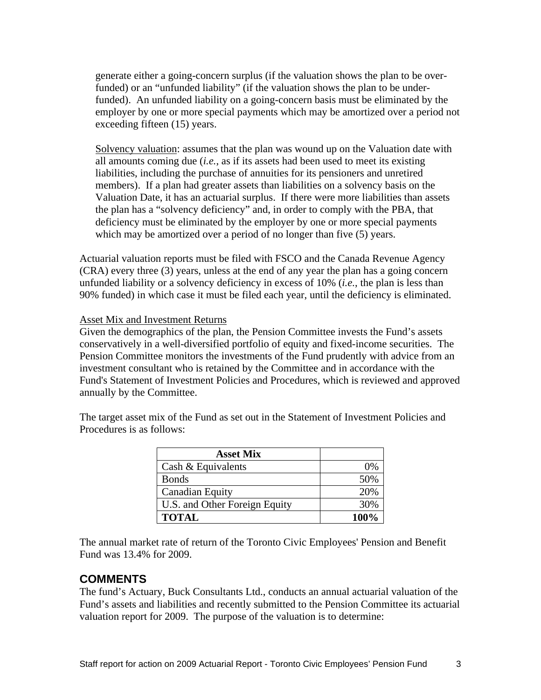generate either a going-concern surplus (if the valuation shows the plan to be overfunded) or an "unfunded liability" (if the valuation shows the plan to be underfunded). An unfunded liability on a going-concern basis must be eliminated by the employer by one or more special payments which may be amortized over a period not exceeding fifteen (15) years.

Solvency valuation: assumes that the plan was wound up on the Valuation date with all amounts coming due (*i.e.*, as if its assets had been used to meet its existing liabilities, including the purchase of annuities for its pensioners and unretired members). If a plan had greater assets than liabilities on a solvency basis on the Valuation Date, it has an actuarial surplus. If there were more liabilities than assets the plan has a "solvency deficiency" and, in order to comply with the PBA, that deficiency must be eliminated by the employer by one or more special payments which may be amortized over a period of no longer than five (5) years.

Actuarial valuation reports must be filed with FSCO and the Canada Revenue Agency (CRA) every three (3) years, unless at the end of any year the plan has a going concern unfunded liability or a solvency deficiency in excess of 10% (*i.e.*, the plan is less than 90% funded) in which case it must be filed each year, until the deficiency is eliminated.

#### Asset Mix and Investment Returns

Given the demographics of the plan, the Pension Committee invests the Fund's assets conservatively in a well-diversified portfolio of equity and fixed-income securities. The Pension Committee monitors the investments of the Fund prudently with advice from an investment consultant who is retained by the Committee and in accordance with the Fund's Statement of Investment Policies and Procedures, which is reviewed and approved annually by the Committee.

> **Asset Mix** Cash & Equivalents  $0\%$ Bonds 50% Canadian Equity **20%** U.S. and Other Foreign Equity  $30\%$ **TOTAL 100%**

The target asset mix of the Fund as set out in the Statement of Investment Policies and Procedures is as follows:

The annual market rate of return of the Toronto Civic Employees' Pension and Benefit Fund was 13.4% for 2009.

#### **COMMENTS**

The fund's Actuary, Buck Consultants Ltd., conducts an annual actuarial valuation of the Fund's assets and liabilities and recently submitted to the Pension Committee its actuarial valuation report for 2009. The purpose of the valuation is to determine: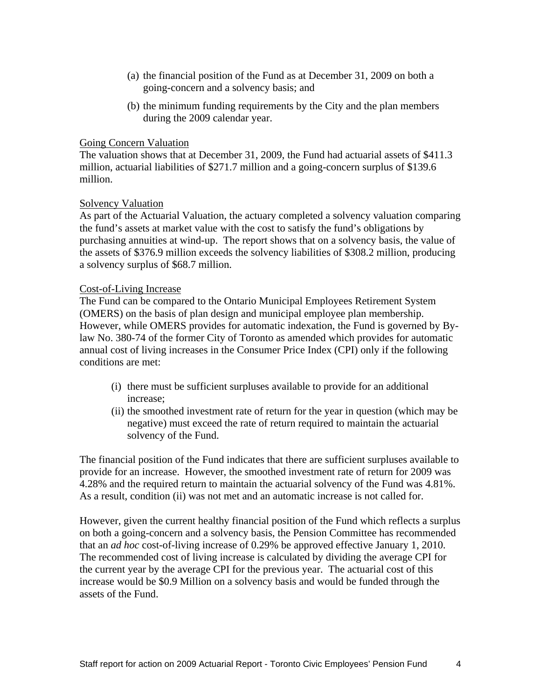- (a) the financial position of the Fund as at December 31, 2009 on both a going-concern and a solvency basis; and
- (b) the minimum funding requirements by the City and the plan members during the 2009 calendar year.

#### **Going Concern Valuation Going Concern Valuation**

The valuation shows that at December 31, 2009, the Fund had actuarial assets of \$411.3 million, actuarial liabilities of \$271.7 million and a going-concern surplus of \$139.6 million.

#### Solvency Valuation Solvency Valuation

As part of the Actuarial Valuation, the actuary completed a solvency valuation comparing the fund's assets at market value with the cost to satisfy the fund's obligations by purchasing annuities at wind-up. The report shows that on a solvency basis, the value of the assets of \$376.9 million exceeds the solvency liabilities of \$308.2 million, producing a solvency surplus of \$68.7 million.

#### Cost-of-Living Increase

The Fund can be compared to the Ontario Municipal Employees Retirement System (OMERS) on the basis of plan design and municipal employee plan membership. However, while OMERS provides for automatic indexation, the Fund is governed by Bylaw No. 380-74 of the former City of Toronto as amended which provides for automatic annual cost of living increases in the Consumer Price Index (CPI) only if the following conditions are met:

- (i) there must be sufficient surpluses available to provide for an additional increase;
- (ii) the smoothed investment rate of return for the year in question (which may be negative) must exceed the rate of return required to maintain the actuarial solvency of the Fund.

The financial position of the Fund indicates that there are sufficient surpluses available to provide for an increase. However, the smoothed investment rate of return for 2009 was 4.28% and the required return to maintain the actuarial solvency of the Fund was 4.81%. As a result, condition (ii) was not met and an automatic increase is not called for.

However, given the current healthy financial position of the Fund which reflects a surplus on both a going-concern and a solvency basis, the Pension Committee has recommended that an *ad hoc* cost-of-living increase of 0.29% be approved effective January 1, 2010. The recommended cost of living increase is calculated by dividing the average CPI for the current year by the average CPI for the previous year. The actuarial cost of this increase would be \$0.9 Million on a solvency basis and would be funded through the assets of the Fund.